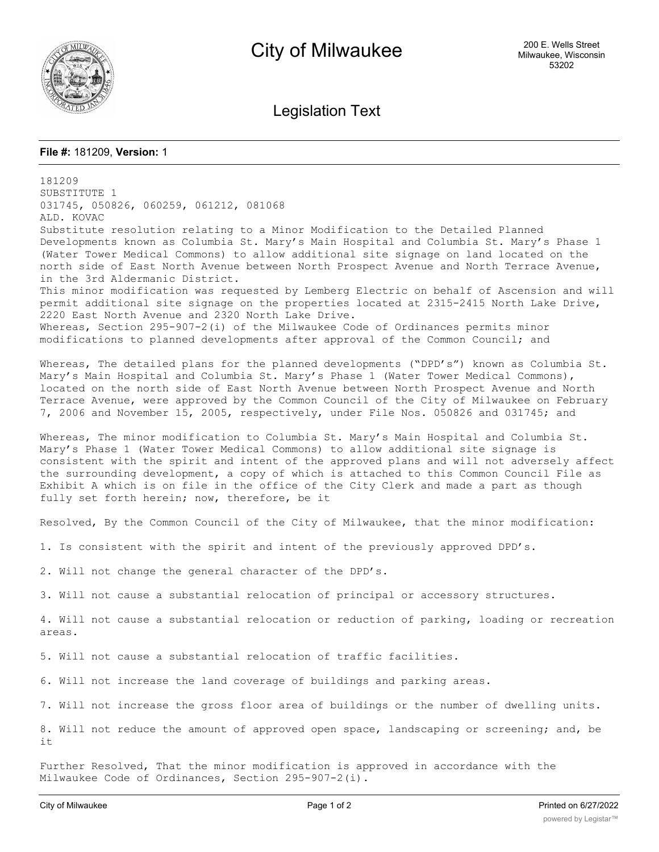

Legislation Text

## **File #:** 181209, **Version:** 1

181209 SUBSTITUTE 1 031745, 050826, 060259, 061212, 081068 ALD. KOVAC Substitute resolution relating to a Minor Modification to the Detailed Planned Developments known as Columbia St. Mary's Main Hospital and Columbia St. Mary's Phase 1 (Water Tower Medical Commons) to allow additional site signage on land located on the north side of East North Avenue between North Prospect Avenue and North Terrace Avenue, in the 3rd Aldermanic District. This minor modification was requested by Lemberg Electric on behalf of Ascension and will permit additional site signage on the properties located at 2315-2415 North Lake Drive, 2220 East North Avenue and 2320 North Lake Drive. Whereas, Section 295-907-2(i) of the Milwaukee Code of Ordinances permits minor modifications to planned developments after approval of the Common Council; and Whereas, The detailed plans for the planned developments ("DPD's") known as Columbia St. Mary's Main Hospital and Columbia St. Mary's Phase 1 (Water Tower Medical Commons), located on the north side of East North Avenue between North Prospect Avenue and North Terrace Avenue, were approved by the Common Council of the City of Milwaukee on February 7, 2006 and November 15, 2005, respectively, under File Nos. 050826 and 031745; and Whereas, The minor modification to Columbia St. Mary's Main Hospital and Columbia St. Mary's Phase 1 (Water Tower Medical Commons) to allow additional site signage is consistent with the spirit and intent of the approved plans and will not adversely affect the surrounding development, a copy of which is attached to this Common Council File as Exhibit A which is on file in the office of the City Clerk and made a part as though fully set forth herein; now, therefore, be it Resolved, By the Common Council of the City of Milwaukee, that the minor modification: 1. Is consistent with the spirit and intent of the previously approved DPD's. 2. Will not change the general character of the DPD's. 3. Will not cause a substantial relocation of principal or accessory structures. 4. Will not cause a substantial relocation or reduction of parking, loading or recreation areas. 5. Will not cause a substantial relocation of traffic facilities. 6. Will not increase the land coverage of buildings and parking areas. 7. Will not increase the gross floor area of buildings or the number of dwelling units. 8. Will not reduce the amount of approved open space, landscaping or screening; and, be it

Further Resolved, That the minor modification is approved in accordance with the Milwaukee Code of Ordinances, Section 295-907-2(i).